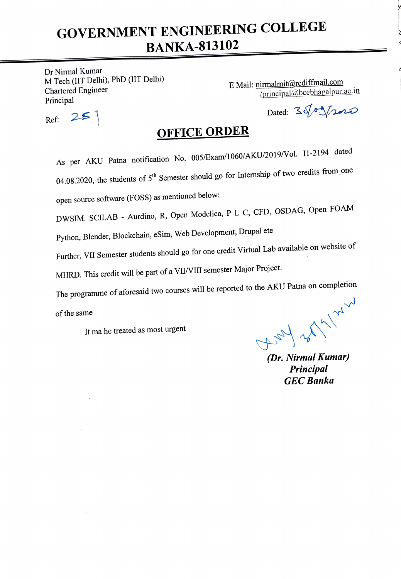# GOVERNMENT ENGINEERING COLLEGE BANKA-813102

Dr Nirmal Kumar M Tech (IIT Delhi), PhD (IIT Delhi) Chartered Engineer Principal

E Mail: nimalmit@rediffmail.com principal@bcebhagalpur.ac.in

 $Ref: 251$ 

Dated:  $35/09/200$ 

# OFFICE ORDER

As per AKU Patna notification No. 005/Exam/1060/AKU/2019/Vol. I1-2194 dated 04.08.2020, the students of  $5<sup>th</sup>$  Semester should go for Internship of two credits from one open source software (FOSS) as mentioned below:

DWSIM. SCILAB - Aurdino, R, Open Modelica, P L C, CFD, OSDAG, Open FOAM

Python, Blender, Blockchain, eSim, Web Development, Drupal ete

Further, VII Semester students should go for one credit Virtual Lab available on website of

MHRD. This credit will be part of a VII/VIII semester Major Project.

The programme of aforesaid two courses will be reported to the AKU Patna on completion

of the same

It ma he treated as most urgent

 $\left(\frac{1}{\sqrt{2}}\right)^{1/2}$ 

Principal GEC Banka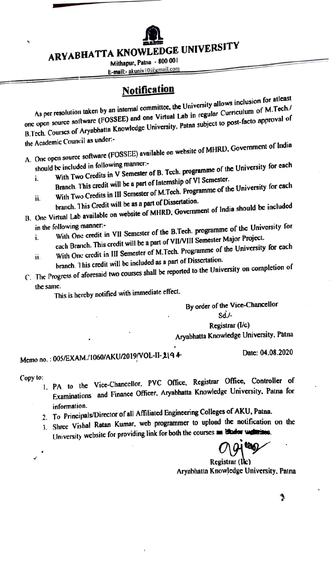

ARYABHATTA KNOWLEDGE UNIVERSITY

Mithapur, Patna - 800 001

E-mail:- akuniv 10@email.com

## **Notification**

As per resolution taken by an internal committee, the University allows inclusion for atleast<br>As per resolution taken by an internal committee, the University allows inclusion of M.Tech. onc open source sollware (POSSEE) and one Virtual Lab in regular Curriculum of M.Tech./ B.Tech. Courses of Aryabhatta Knowledge University, Patna subject to post-facto approval of the Academic Council as undcr:

A. One open source software (FOSSEE) available on website of MHRD. Government of India

- should be included in following manner: With Two Credits in V Semester of B. Tech. programme of the University for cach i.
- Branch. This credit will be a part of Intcrnship of VI Semester. With Two Credits in IlI Semester of M.Tech. Programme of the University for cach i.
- branch. This Credit will be as a part of Dissertation. B. Onc Virtual Lab available on website of MHRD, Government of India should be included
	- in the following manner With One credit in VIl Semester of the B.Tech. programme of the University for cach Branch. This credit will be a part of VIIVIII Semester Major Project. i.
	- With One credit in III Semester of M.Tech. Programme of the University for each branch. 1 his credit will be included as a part of Disscrtation. 11.
- C. The Progress of aforesaid two courses shall be reported to the University on completion of

the same. This is hercby notificd with immediate cffect.

By order of the Vice-Chancellor  $Sd$ .

Registrar (I/c)

Aryabhatta Knowledge University, Patna

Date: 04.08.2020

# Memo no.: 005/EXAM./1060/AKU/2019/VOL-I1-2194

Copy to:

- I. PA to the Vice-Chancellor, PVC Office, Registrar Office, Controller of Examinations and Finance Officer, Aryabhatta Knowledge University. Patna for information.
- 2. To Principals/Director of all Affiliated Engineering Colleges of AKU, Patna.
- 3. Shree Vishal Ratan Kumar, wcb programmer to upload the notification on the University website for providing link for both the courses an elador websites.

Registrar (lkc) Aryabhatta Knowledge University. Patna